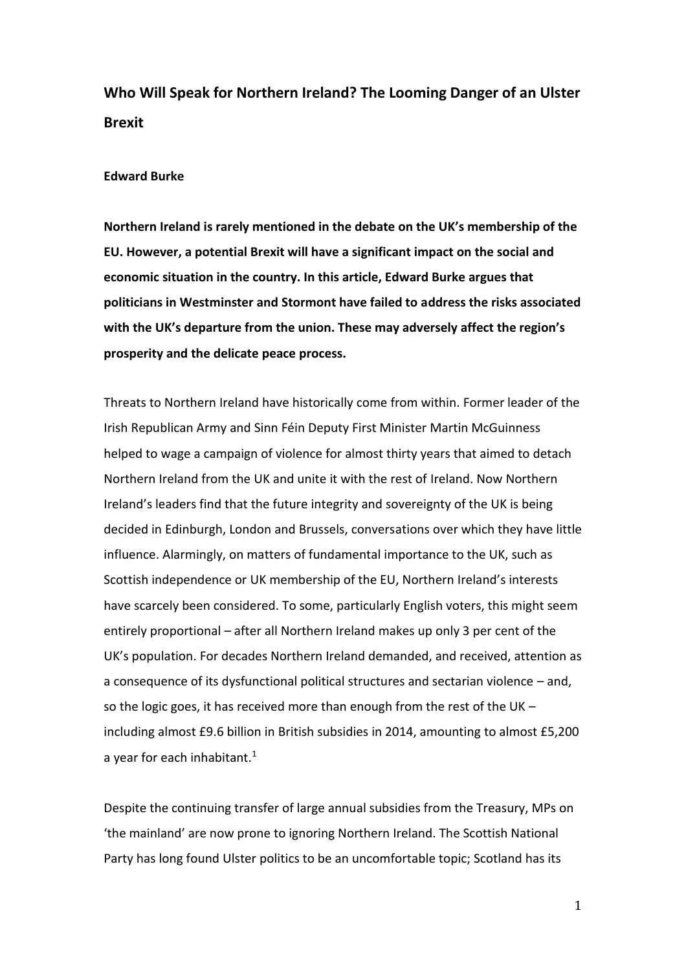**Who Will Speak for Northern Ireland? The Looming Danger of an Ulster Brexit**

## **Edward Burke**

**Northern Ireland is rarely mentioned in the debate on the UK's membership of the EU. However, a potential Brexit will have a significant impact on the social and economic situation in the country. In this article, Edward Burke argues that politicians in Westminster and Stormont have failed to address the risks associated with the UK's departure from the union. These may adversely affect the region's prosperity and the delicate peace process.** 

Threats to Northern Ireland have historically come from within. Former leader of the Irish Republican Army and Sinn Féin Deputy First Minister Martin McGuinness helped to wage a campaign of violence for almost thirty years that aimed to detach Northern Ireland from the UK and unite it with the rest of Ireland. Now Northern Ireland's leaders find that the future integrity and sovereignty of the UK is being decided in Edinburgh, London and Brussels, conversations over which they have little influence. Alarmingly, on matters of fundamental importance to the UK, such as Scottish independence or UK membership of the EU, Northern Ireland's interests have scarcely been considered. To some, particularly English voters, this might seem entirely proportional – after all Northern Ireland makes up only 3 per cent of the UK's population. For decades Northern Ireland demanded, and received, attention as a consequence of its dysfunctional political structures and sectarian violence – and, so the logic goes, it has received more than enough from the rest of the UK – including almost £9.6 billion in British subsidies in 2014, amounting to almost £5,200 a year for each inhabitant.<sup>1</sup>

Despite the continuing transfer of large annual subsidies from the Treasury, MPs on 'the mainland' are now prone to ignoring Northern Ireland. The Scottish National Party has long found Ulster politics to be an uncomfortable topic; Scotland has its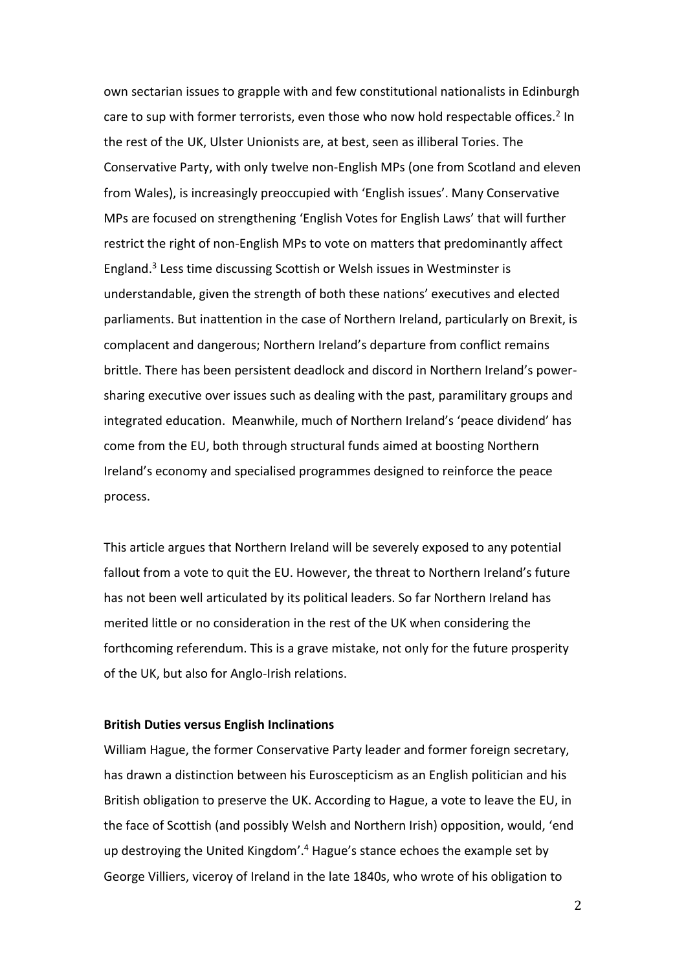own sectarian issues to grapple with and few constitutional nationalists in Edinburgh care to sup with former terrorists, even those who now hold respectable offices.<sup>2</sup> In the rest of the UK, Ulster Unionists are, at best, seen as illiberal Tories. The Conservative Party, with only twelve non-English MPs (one from Scotland and eleven from Wales), is increasingly preoccupied with 'English issues'. Many Conservative MPs are focused on strengthening 'English Votes for English Laws' that will further restrict the right of non-English MPs to vote on matters that predominantly affect England.<sup>3</sup> Less time discussing Scottish or Welsh issues in Westminster is understandable, given the strength of both these nations' executives and elected parliaments. But inattention in the case of Northern Ireland, particularly on Brexit, is complacent and dangerous; Northern Ireland's departure from conflict remains brittle. There has been persistent deadlock and discord in Northern Ireland's powersharing executive over issues such as dealing with the past, paramilitary groups and integrated education. Meanwhile, much of Northern Ireland's 'peace dividend' has come from the EU, both through structural funds aimed at boosting Northern Ireland's economy and specialised programmes designed to reinforce the peace process.

This article argues that Northern Ireland will be severely exposed to any potential fallout from a vote to quit the EU. However, the threat to Northern Ireland's future has not been well articulated by its political leaders. So far Northern Ireland has merited little or no consideration in the rest of the UK when considering the forthcoming referendum. This is a grave mistake, not only for the future prosperity of the UK, but also for Anglo-Irish relations.

# **British Duties versus English Inclinations**

William Hague, the former Conservative Party leader and former foreign secretary, has drawn a distinction between his Euroscepticism as an English politician and his British obligation to preserve the UK. According to Hague, a vote to leave the EU, in the face of Scottish (and possibly Welsh and Northern Irish) opposition, would, 'end up destroying the United Kingdom'.<sup>4</sup> Hague's stance echoes the example set by George Villiers, viceroy of Ireland in the late 1840s, who wrote of his obligation to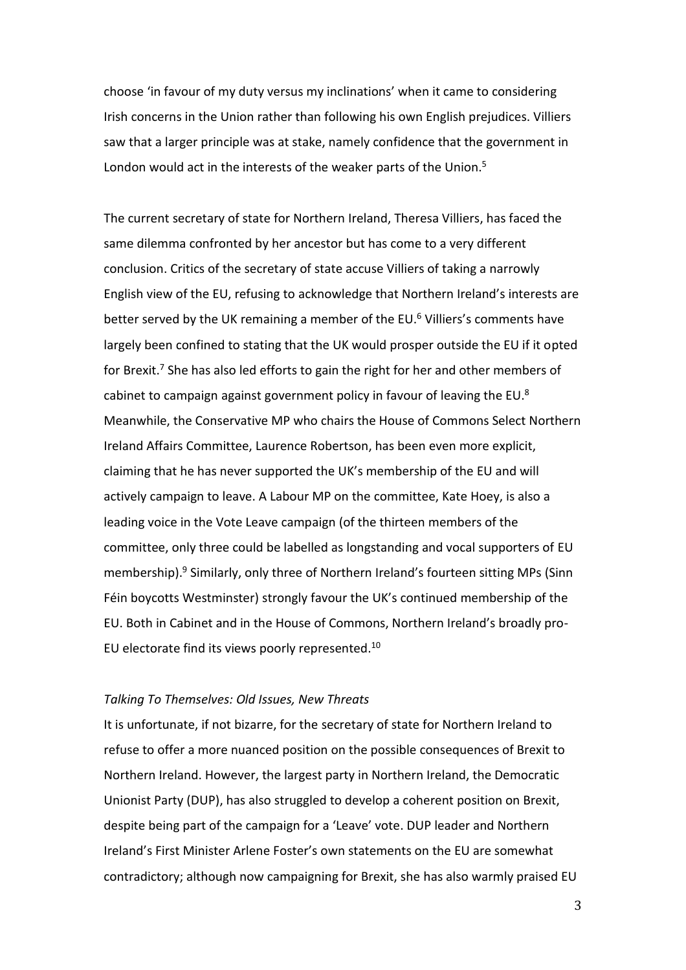choose 'in favour of my duty versus my inclinations' when it came to considering Irish concerns in the Union rather than following his own English prejudices. Villiers saw that a larger principle was at stake, namely confidence that the government in London would act in the interests of the weaker parts of the Union.<sup>5</sup>

The current secretary of state for Northern Ireland, Theresa Villiers, has faced the same dilemma confronted by her ancestor but has come to a very different conclusion. Critics of the secretary of state accuse Villiers of taking a narrowly English view of the EU, refusing to acknowledge that Northern Ireland's interests are better served by the UK remaining a member of the EU.<sup>6</sup> Villiers's comments have largely been confined to stating that the UK would prosper outside the EU if it opted for Brexit.<sup>7</sup> She has also led efforts to gain the right for her and other members of cabinet to campaign against government policy in favour of leaving the EU.<sup>8</sup> Meanwhile, the Conservative MP who chairs the House of Commons Select Northern Ireland Affairs Committee, Laurence Robertson, has been even more explicit, claiming that he has never supported the UK's membership of the EU and will actively campaign to leave. A Labour MP on the committee, Kate Hoey, is also a leading voice in the Vote Leave campaign (of the thirteen members of the committee, only three could be labelled as longstanding and vocal supporters of EU membership).<sup>9</sup> Similarly, only three of Northern Ireland's fourteen sitting MPs (Sinn Féin boycotts Westminster) strongly favour the UK's continued membership of the EU. Both in Cabinet and in the House of Commons, Northern Ireland's broadly pro-EU electorate find its views poorly represented.<sup>10</sup>

# *Talking To Themselves: Old Issues, New Threats*

It is unfortunate, if not bizarre, for the secretary of state for Northern Ireland to refuse to offer a more nuanced position on the possible consequences of Brexit to Northern Ireland. However, the largest party in Northern Ireland, the Democratic Unionist Party (DUP), has also struggled to develop a coherent position on Brexit, despite being part of the campaign for a 'Leave' vote. DUP leader and Northern Ireland's First Minister Arlene Foster's own statements on the EU are somewhat contradictory; although now campaigning for Brexit, she has also warmly praised EU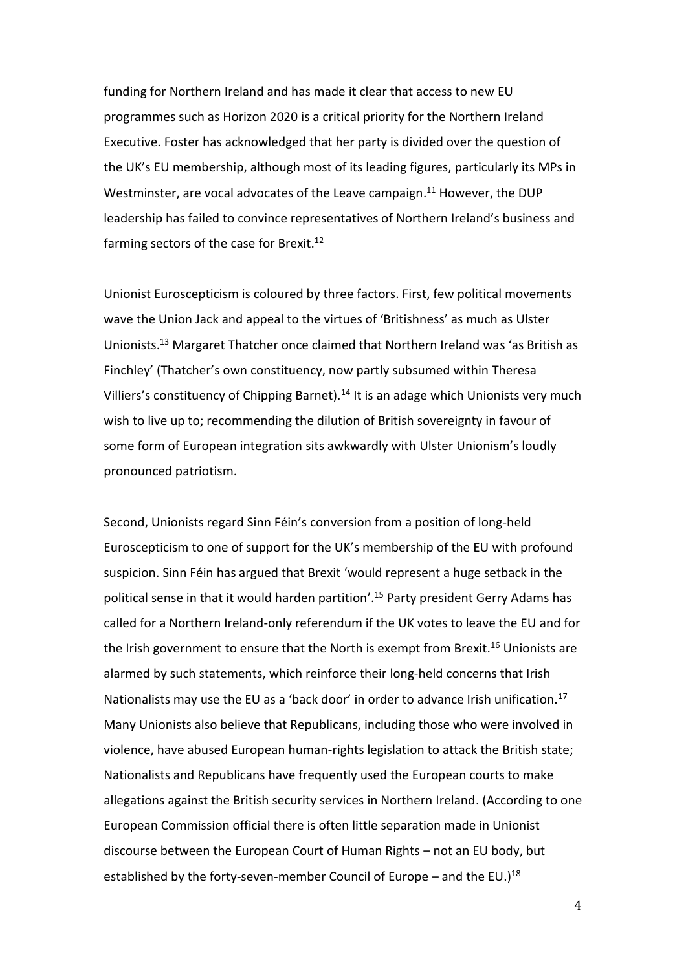funding for Northern Ireland and has made it clear that access to new EU programmes such as Horizon 2020 is a critical priority for the Northern Ireland Executive. Foster has acknowledged that her party is divided over the question of the UK's EU membership, although most of its leading figures, particularly its MPs in Westminster, are vocal advocates of the Leave campaign.<sup>11</sup> However, the DUP leadership has failed to convince representatives of Northern Ireland's business and farming sectors of the case for Brexit.<sup>12</sup>

Unionist Euroscepticism is coloured by three factors. First, few political movements wave the Union Jack and appeal to the virtues of 'Britishness' as much as Ulster Unionists.<sup>13</sup> Margaret Thatcher once claimed that Northern Ireland was 'as British as Finchley' (Thatcher's own constituency, now partly subsumed within Theresa Villiers's constituency of Chipping Barnet).<sup>14</sup> It is an adage which Unionists very much wish to live up to; recommending the dilution of British sovereignty in favour of some form of European integration sits awkwardly with Ulster Unionism's loudly pronounced patriotism.

Second, Unionists regard Sinn Féin's conversion from a position of long-held Euroscepticism to one of support for the UK's membership of the EU with profound suspicion. Sinn Féin has argued that Brexit 'would represent a huge setback in the political sense in that it would harden partition'.<sup>15</sup> Party president Gerry Adams has called for a Northern Ireland-only referendum if the UK votes to leave the EU and for the Irish government to ensure that the North is exempt from Brexit.<sup>16</sup> Unionists are alarmed by such statements, which reinforce their long-held concerns that Irish Nationalists may use the EU as a 'back door' in order to advance Irish unification.<sup>17</sup> Many Unionists also believe that Republicans, including those who were involved in violence, have abused European human-rights legislation to attack the British state; Nationalists and Republicans have frequently used the European courts to make allegations against the British security services in Northern Ireland. (According to one European Commission official there is often little separation made in Unionist discourse between the European Court of Human Rights – not an EU body, but established by the forty-seven-member Council of Europe – and the EU.) $^{18}$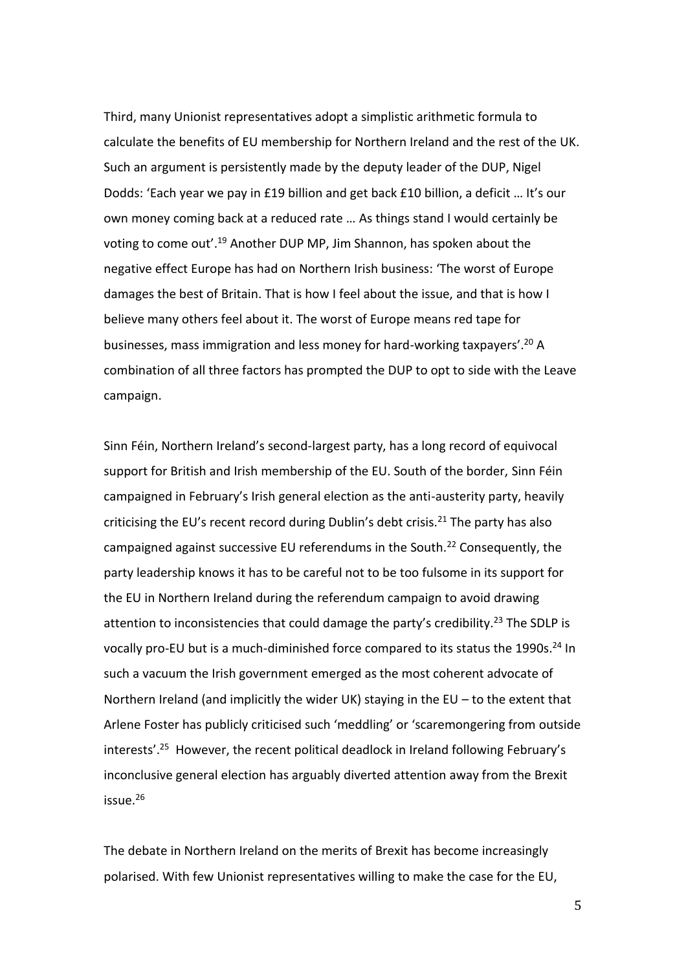Third, many Unionist representatives adopt a simplistic arithmetic formula to calculate the benefits of EU membership for Northern Ireland and the rest of the UK. Such an argument is persistently made by the deputy leader of the DUP, Nigel Dodds: 'Each year we pay in £19 billion and get back £10 billion, a deficit … It's our own money coming back at a reduced rate … As things stand I would certainly be voting to come out'. <sup>19</sup> Another DUP MP, Jim Shannon, has spoken about the negative effect Europe has had on Northern Irish business: 'The worst of Europe damages the best of Britain. That is how I feel about the issue, and that is how I believe many others feel about it. The worst of Europe means red tape for businesses, mass immigration and less money for hard-working taxpayers'.<sup>20</sup> A combination of all three factors has prompted the DUP to opt to side with the Leave campaign.

Sinn Féin, Northern Ireland's second-largest party, has a long record of equivocal support for British and Irish membership of the EU. South of the border, Sinn Féin campaigned in February's Irish general election as the anti-austerity party, heavily criticising the EU's recent record during Dublin's debt crisis.<sup>21</sup> The party has also campaigned against successive EU referendums in the South.<sup>22</sup> Consequently, the party leadership knows it has to be careful not to be too fulsome in its support for the EU in Northern Ireland during the referendum campaign to avoid drawing attention to inconsistencies that could damage the party's credibility.<sup>23</sup> The SDLP is vocally pro-EU but is a much-diminished force compared to its status the 1990s.<sup>24</sup> In such a vacuum the Irish government emerged as the most coherent advocate of Northern Ireland (and implicitly the wider UK) staying in the  $EU - to$  the extent that Arlene Foster has publicly criticised such 'meddling' or 'scaremongering from outside interests'.<sup>25</sup> However, the recent political deadlock in Ireland following February's inconclusive general election has arguably diverted attention away from the Brexit issue. 26

The debate in Northern Ireland on the merits of Brexit has become increasingly polarised. With few Unionist representatives willing to make the case for the EU,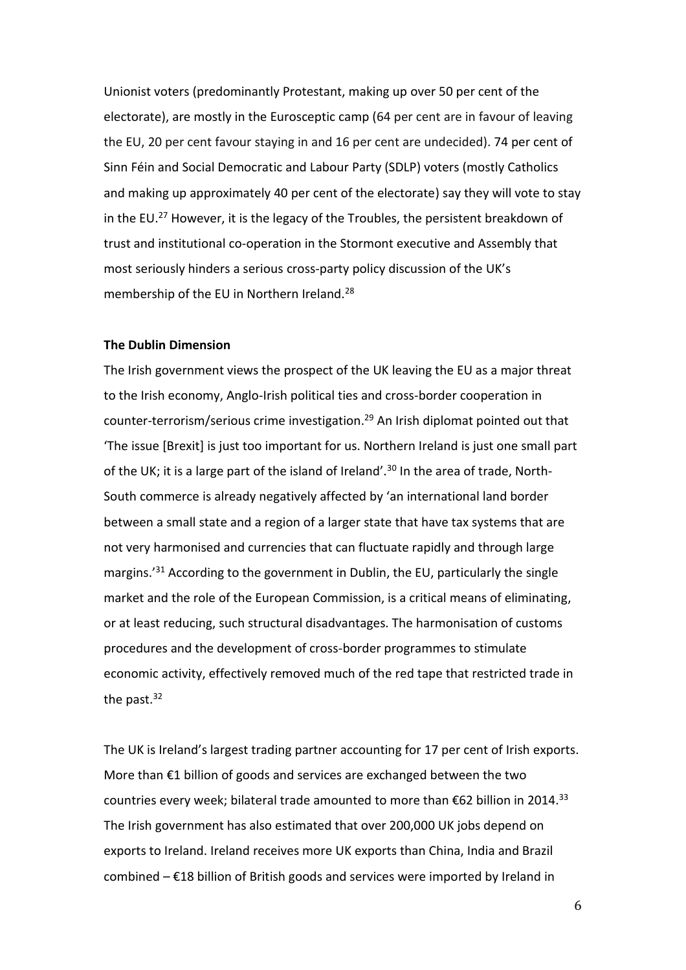Unionist voters (predominantly Protestant, making up over 50 per cent of the electorate), are mostly in the Eurosceptic camp (64 per cent are in favour of leaving the EU, 20 per cent favour staying in and 16 per cent are undecided). 74 per cent of Sinn Féin and Social Democratic and Labour Party (SDLP) voters (mostly Catholics and making up approximately 40 per cent of the electorate) say they will vote to stay in the EU.<sup>27</sup> However, it is the legacy of the Troubles, the persistent breakdown of trust and institutional co-operation in the Stormont executive and Assembly that most seriously hinders a serious cross-party policy discussion of the UK's membership of the EU in Northern Ireland.<sup>28</sup>

## **The Dublin Dimension**

The Irish government views the prospect of the UK leaving the EU as a major threat to the Irish economy, Anglo-Irish political ties and cross-border cooperation in counter-terrorism/serious crime investigation.<sup>29</sup> An Irish diplomat pointed out that 'The issue [Brexit] is just too important for us. Northern Ireland is just one small part of the UK; it is a large part of the island of Ireland'.<sup>30</sup> In the area of trade, North-South commerce is already negatively affected by 'an international land border between a small state and a region of a larger state that have tax systems that are not very harmonised and currencies that can fluctuate rapidly and through large margins.'<sup>31</sup> According to the government in Dublin, the EU, particularly the single market and the role of the European Commission, is a critical means of eliminating, or at least reducing, such structural disadvantages. The harmonisation of customs procedures and the development of cross-border programmes to stimulate economic activity, effectively removed much of the red tape that restricted trade in the past.<sup>32</sup>

The UK is Ireland's largest trading partner accounting for 17 per cent of Irish exports. More than €1 billion of goods and services are exchanged between the two countries every week; bilateral trade amounted to more than  $\epsilon$ 62 billion in 2014.<sup>33</sup> The Irish government has also estimated that over 200,000 UK jobs depend on exports to Ireland. Ireland receives more UK exports than China, India and Brazil combined  $-$  £18 billion of British goods and services were imported by Ireland in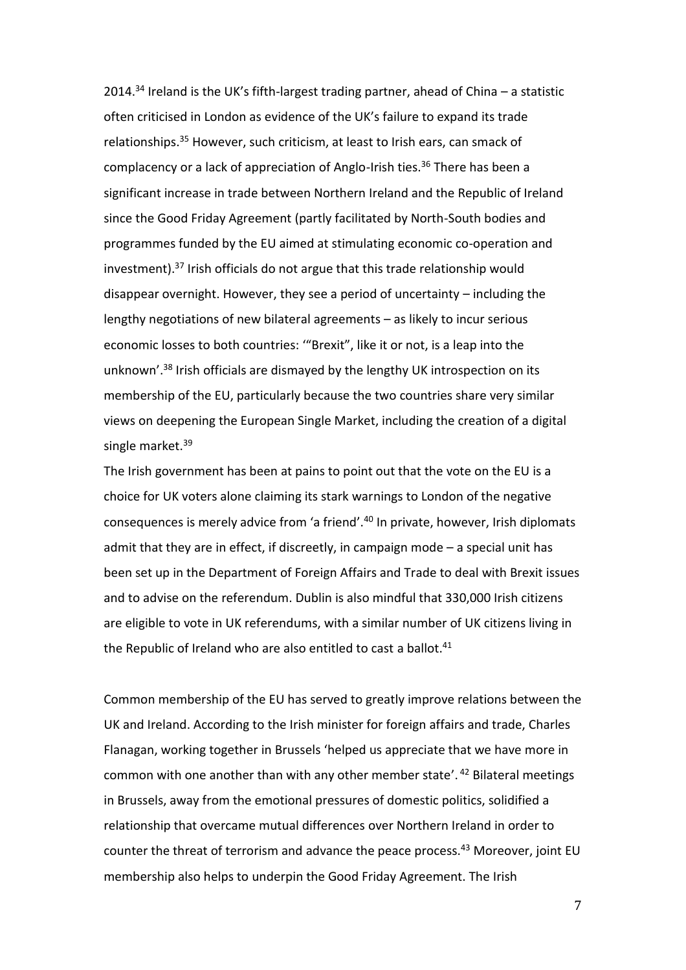2014.<sup>34</sup> Ireland is the UK's fifth-largest trading partner, ahead of China  $-$  a statistic often criticised in London as evidence of the UK's failure to expand its trade relationships.<sup>35</sup> However, such criticism, at least to Irish ears, can smack of complacency or a lack of appreciation of Anglo-Irish ties.<sup>36</sup> There has been a significant increase in trade between Northern Ireland and the Republic of Ireland since the Good Friday Agreement (partly facilitated by North-South bodies and programmes funded by the EU aimed at stimulating economic co-operation and investment).<sup>37</sup> Irish officials do not argue that this trade relationship would disappear overnight. However, they see a period of uncertainty – including the lengthy negotiations of new bilateral agreements – as likely to incur serious economic losses to both countries: '"Brexit", like it or not, is a leap into the unknown'.<sup>38</sup> Irish officials are dismayed by the lengthy UK introspection on its membership of the EU, particularly because the two countries share very similar views on deepening the European Single Market, including the creation of a digital single market.<sup>39</sup>

The Irish government has been at pains to point out that the vote on the EU is a choice for UK voters alone claiming its stark warnings to London of the negative consequences is merely advice from 'a friend'.<sup>40</sup> In private, however, Irish diplomats admit that they are in effect, if discreetly, in campaign mode – a special unit has been set up in the Department of Foreign Affairs and Trade to deal with Brexit issues and to advise on the referendum. Dublin is also mindful that 330,000 Irish citizens are eligible to vote in UK referendums, with a similar number of UK citizens living in the Republic of Ireland who are also entitled to cast a ballot.<sup>41</sup>

Common membership of the EU has served to greatly improve relations between the UK and Ireland. According to the Irish minister for foreign affairs and trade, Charles Flanagan, working together in Brussels 'helped us appreciate that we have more in common with one another than with any other member state'. <sup>42</sup> Bilateral meetings in Brussels, away from the emotional pressures of domestic politics, solidified a relationship that overcame mutual differences over Northern Ireland in order to counter the threat of terrorism and advance the peace process.<sup>43</sup> Moreover, joint EU membership also helps to underpin the Good Friday Agreement. The Irish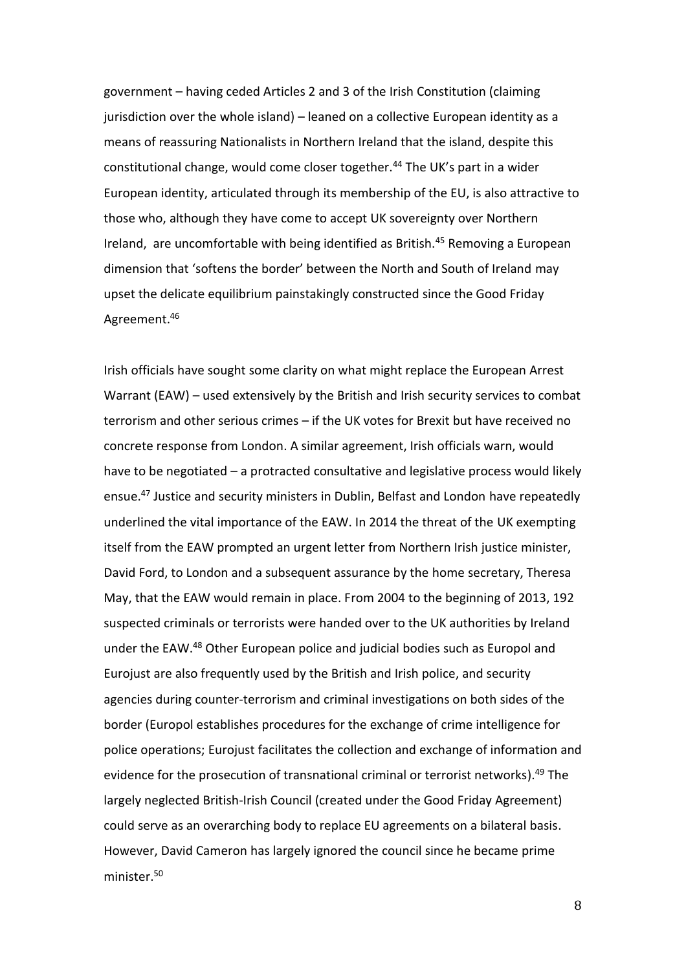government – having ceded Articles 2 and 3 of the Irish Constitution (claiming jurisdiction over the whole island) – leaned on a collective European identity as a means of reassuring Nationalists in Northern Ireland that the island, despite this constitutional change, would come closer together.<sup>44</sup> The UK's part in a wider European identity, articulated through its membership of the EU, is also attractive to those who, although they have come to accept UK sovereignty over Northern Ireland, are uncomfortable with being identified as British.<sup>45</sup> Removing a European dimension that 'softens the border' between the North and South of Ireland may upset the delicate equilibrium painstakingly constructed since the Good Friday Agreement.<sup>46</sup>

Irish officials have sought some clarity on what might replace the European Arrest Warrant (EAW) – used extensively by the British and Irish security services to combat terrorism and other serious crimes – if the UK votes for Brexit but have received no concrete response from London. A similar agreement, Irish officials warn, would have to be negotiated – a protracted consultative and legislative process would likely ensue.<sup>47</sup> Justice and security ministers in Dublin, Belfast and London have repeatedly underlined the vital importance of the EAW. In 2014 the threat of the UK exempting itself from the EAW prompted an urgent letter from Northern Irish justice minister, David Ford, to London and a subsequent assurance by the home secretary, Theresa May, that the EAW would remain in place. From 2004 to the beginning of 2013, 192 suspected criminals or terrorists were handed over to the UK authorities by Ireland under the EAW.<sup>48</sup> Other European police and judicial bodies such as Europol and Eurojust are also frequently used by the British and Irish police, and security agencies during counter-terrorism and criminal investigations on both sides of the border (Europol establishes procedures for the exchange of crime intelligence for police operations; Eurojust facilitates the collection and exchange of information and evidence for the prosecution of transnational criminal or terrorist networks). <sup>49</sup> The largely neglected British-Irish Council (created under the Good Friday Agreement) could serve as an overarching body to replace EU agreements on a bilateral basis. However, David Cameron has largely ignored the council since he became prime minister.50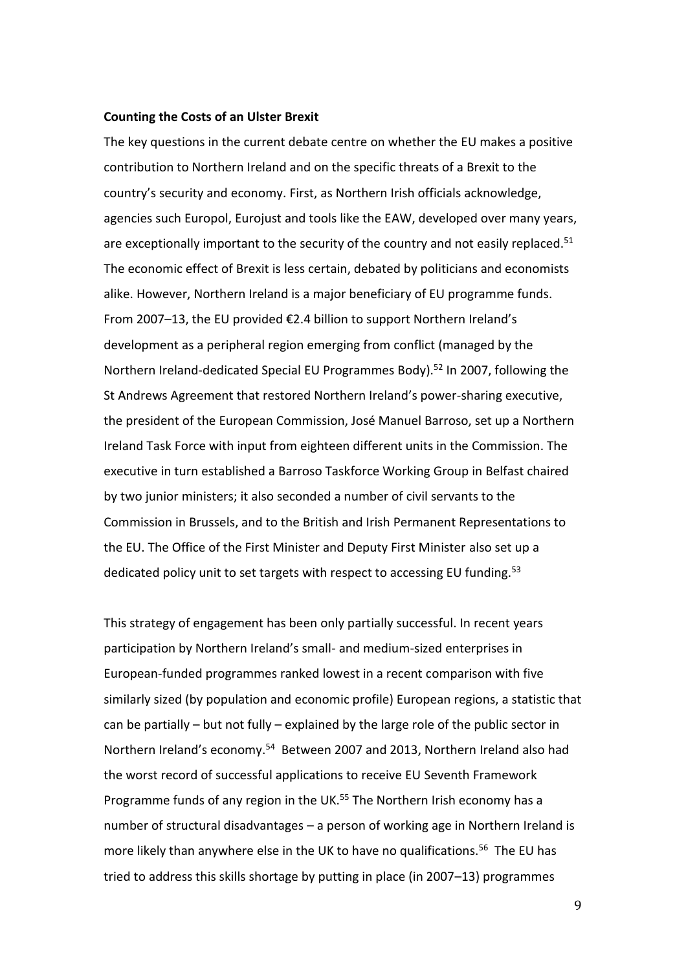#### **Counting the Costs of an Ulster Brexit**

The key questions in the current debate centre on whether the EU makes a positive contribution to Northern Ireland and on the specific threats of a Brexit to the country's security and economy. First, as Northern Irish officials acknowledge, agencies such Europol, Eurojust and tools like the EAW, developed over many years, are exceptionally important to the security of the country and not easily replaced.<sup>51</sup> The economic effect of Brexit is less certain, debated by politicians and economists alike. However, Northern Ireland is a major beneficiary of EU programme funds. From 2007–13, the EU provided €2.4 billion to support Northern Ireland's development as a peripheral region emerging from conflict (managed by the Northern Ireland-dedicated Special EU Programmes Body).<sup>52</sup> In 2007, following the St Andrews Agreement that restored Northern Ireland's power-sharing executive, the president of the European Commission, José Manuel Barroso, set up a Northern Ireland Task Force with input from eighteen different units in the Commission. The executive in turn established a Barroso Taskforce Working Group in Belfast chaired by two junior ministers; it also seconded a number of civil servants to the Commission in Brussels, and to the British and Irish Permanent Representations to the EU. The Office of the First Minister and Deputy First Minister also set up a dedicated policy unit to set targets with respect to accessing EU funding.<sup>53</sup>

This strategy of engagement has been only partially successful. In recent years participation by Northern Ireland's small- and medium-sized enterprises in European-funded programmes ranked lowest in a recent comparison with five similarly sized (by population and economic profile) European regions, a statistic that can be partially – but not fully – explained by the large role of the public sector in Northern Ireland's economy.<sup>54</sup> Between 2007 and 2013, Northern Ireland also had the worst record of successful applications to receive EU Seventh Framework Programme funds of any region in the UK.<sup>55</sup> The Northern Irish economy has a number of structural disadvantages – a person of working age in Northern Ireland is more likely than anywhere else in the UK to have no qualifications.<sup>56</sup> The EU has tried to address this skills shortage by putting in place (in 2007–13) programmes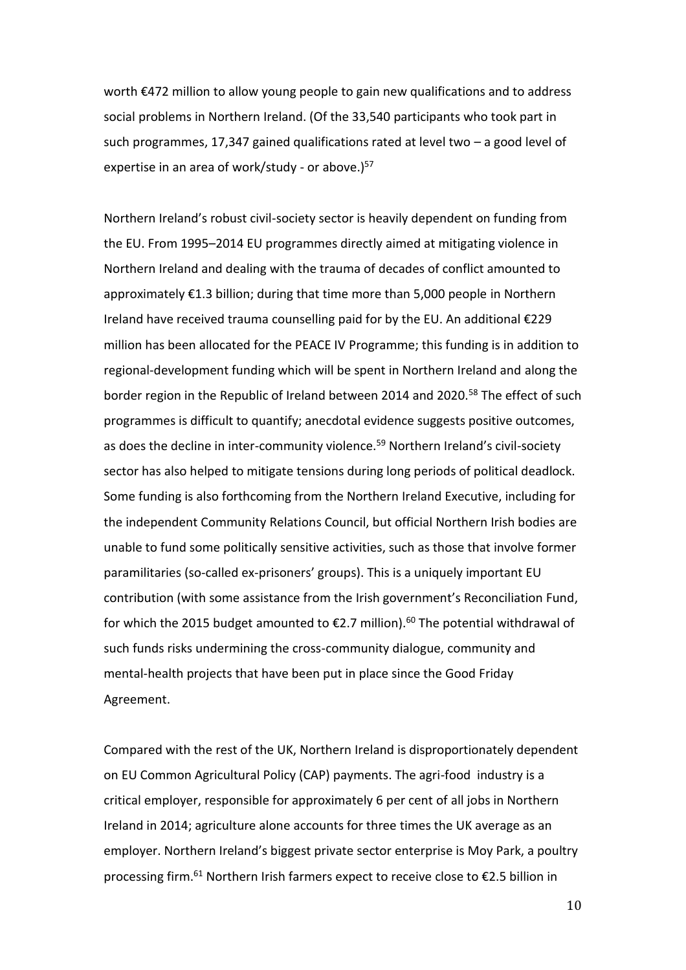worth €472 million to allow young people to gain new qualifications and to address social problems in Northern Ireland. (Of the 33,540 participants who took part in such programmes, 17,347 gained qualifications rated at level two – a good level of expertise in an area of work/study - or above.) 57

Northern Ireland's robust civil-society sector is heavily dependent on funding from the EU. From 1995–2014 EU programmes directly aimed at mitigating violence in Northern Ireland and dealing with the trauma of decades of conflict amounted to approximately €1.3 billion; during that time more than 5,000 people in Northern Ireland have received trauma counselling paid for by the EU. An additional €229 million has been allocated for the PEACE IV Programme; this funding is in addition to regional-development funding which will be spent in Northern Ireland and along the border region in the Republic of Ireland between 2014 and 2020.<sup>58</sup> The effect of such programmes is difficult to quantify; anecdotal evidence suggests positive outcomes, as does the decline in inter-community violence.<sup>59</sup> Northern Ireland's civil-society sector has also helped to mitigate tensions during long periods of political deadlock. Some funding is also forthcoming from the Northern Ireland Executive, including for the independent Community Relations Council, but official Northern Irish bodies are unable to fund some politically sensitive activities, such as those that involve former paramilitaries (so-called ex-prisoners' groups). This is a uniquely important EU contribution (with some assistance from the Irish government's Reconciliation Fund, for which the 2015 budget amounted to  $\epsilon$ 2.7 million).<sup>60</sup> The potential withdrawal of such funds risks undermining the cross-community dialogue, community and mental-health projects that have been put in place since the Good Friday Agreement.

Compared with the rest of the UK, Northern Ireland is disproportionately dependent on EU Common Agricultural Policy (CAP) payments. The agri-food industry is a critical employer, responsible for approximately 6 per cent of all jobs in Northern Ireland in 2014; agriculture alone accounts for three times the UK average as an employer. Northern Ireland's biggest private sector enterprise is Moy Park, a poultry processing firm.<sup>61</sup> Northern Irish farmers expect to receive close to €2.5 billion in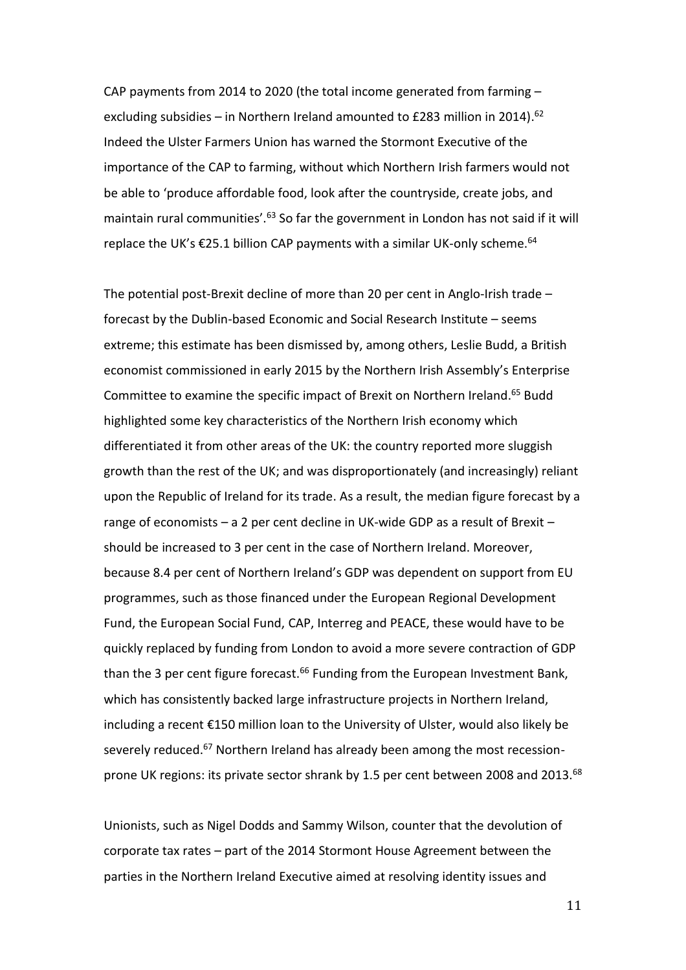CAP payments from 2014 to 2020 (the total income generated from farming – excluding subsidies – in Northern Ireland amounted to £283 million in 2014). 62 Indeed the Ulster Farmers Union has warned the Stormont Executive of the importance of the CAP to farming, without which Northern Irish farmers would not be able to 'produce affordable food, look after the countryside, create jobs, and maintain rural communities'. $63$  So far the government in London has not said if it will replace the UK's  $\epsilon$ 25.1 billion CAP payments with a similar UK-only scheme.<sup>64</sup>

The potential post-Brexit decline of more than 20 per cent in Anglo-Irish trade – forecast by the Dublin-based Economic and Social Research Institute – seems extreme; this estimate has been dismissed by, among others, Leslie Budd, a British economist commissioned in early 2015 by the Northern Irish Assembly's Enterprise Committee to examine the specific impact of Brexit on Northern Ireland. <sup>65</sup> Budd highlighted some key characteristics of the Northern Irish economy which differentiated it from other areas of the UK: the country reported more sluggish growth than the rest of the UK; and was disproportionately (and increasingly) reliant upon the Republic of Ireland for its trade. As a result, the median figure forecast by a range of economists – a 2 per cent decline in UK-wide GDP as a result of Brexit – should be increased to 3 per cent in the case of Northern Ireland. Moreover, because 8.4 per cent of Northern Ireland's GDP was dependent on support from EU programmes, such as those financed under the European Regional Development Fund, the European Social Fund, CAP, Interreg and PEACE, these would have to be quickly replaced by funding from London to avoid a more severe contraction of GDP than the 3 per cent figure forecast.<sup>66</sup> Funding from the European Investment Bank, which has consistently backed large infrastructure projects in Northern Ireland, including a recent €150 million loan to the University of Ulster, would also likely be severely reduced.<sup>67</sup> Northern Ireland has already been among the most recessionprone UK regions: its private sector shrank by 1.5 per cent between 2008 and 2013.<sup>68</sup>

Unionists, such as Nigel Dodds and Sammy Wilson, counter that the devolution of corporate tax rates – part of the 2014 Stormont House Agreement between the parties in the Northern Ireland Executive aimed at resolving identity issues and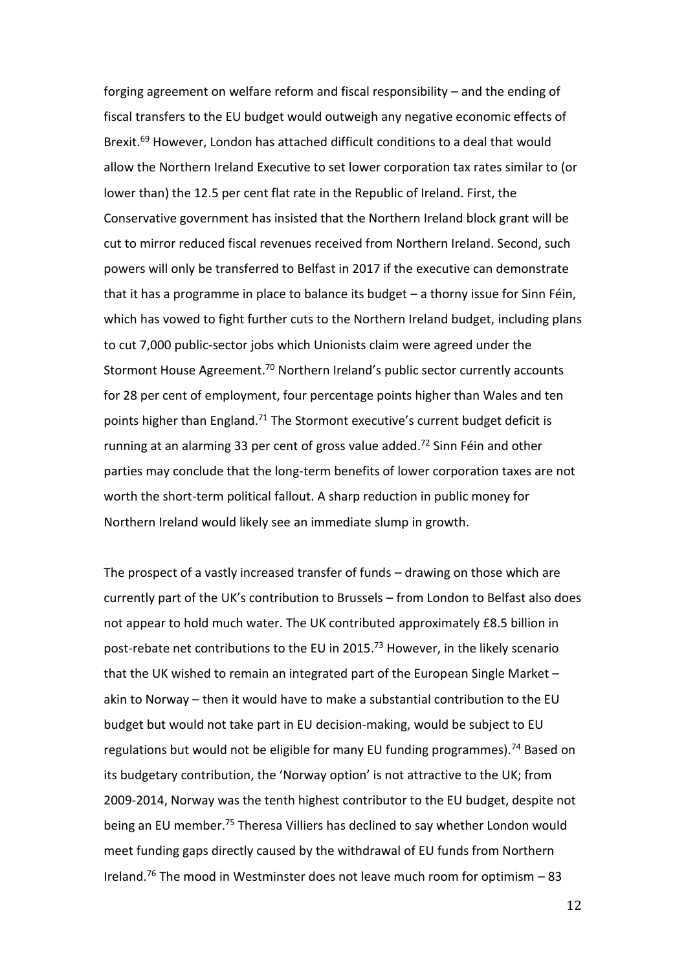forging agreement on welfare reform and fiscal responsibility – and the ending of fiscal transfers to the EU budget would outweigh any negative economic effects of Brexit.<sup>69</sup> However, London has attached difficult conditions to a deal that would allow the Northern Ireland Executive to set lower corporation tax rates similar to (or lower than) the 12.5 per cent flat rate in the Republic of Ireland. First, the Conservative government has insisted that the Northern Ireland block grant will be cut to mirror reduced fiscal revenues received from Northern Ireland. Second, such powers will only be transferred to Belfast in 2017 if the executive can demonstrate that it has a programme in place to balance its budget – a thorny issue for Sinn Féin, which has vowed to fight further cuts to the Northern Ireland budget, including plans to cut 7,000 public-sector jobs which Unionists claim were agreed under the Stormont House Agreement.<sup>70</sup> Northern Ireland's public sector currently accounts for 28 per cent of employment, four percentage points higher than Wales and ten points higher than England.<sup>71</sup> The Stormont executive's current budget deficit is running at an alarming 33 per cent of gross value added.<sup>72</sup> Sinn Féin and other parties may conclude that the long-term benefits of lower corporation taxes are not worth the short-term political fallout. A sharp reduction in public money for Northern Ireland would likely see an immediate slump in growth.

The prospect of a vastly increased transfer of funds – drawing on those which are currently part of the UK's contribution to Brussels – from London to Belfast also does not appear to hold much water. The UK contributed approximately £8.5 billion in post-rebate net contributions to the EU in 2015. <sup>73</sup> However, in the likely scenario that the UK wished to remain an integrated part of the European Single Market – akin to Norway – then it would have to make a substantial contribution to the EU budget but would not take part in EU decision-making, would be subject to EU regulations but would not be eligible for many EU funding programmes).<sup>74</sup> Based on its budgetary contribution, the 'Norway option' is not attractive to the UK; from 2009-2014, Norway was the tenth highest contributor to the EU budget, despite not being an EU member.<sup>75</sup> Theresa Villiers has declined to say whether London would meet funding gaps directly caused by the withdrawal of EU funds from Northern Ireland.<sup>76</sup> The mood in Westminster does not leave much room for optimism  $-83$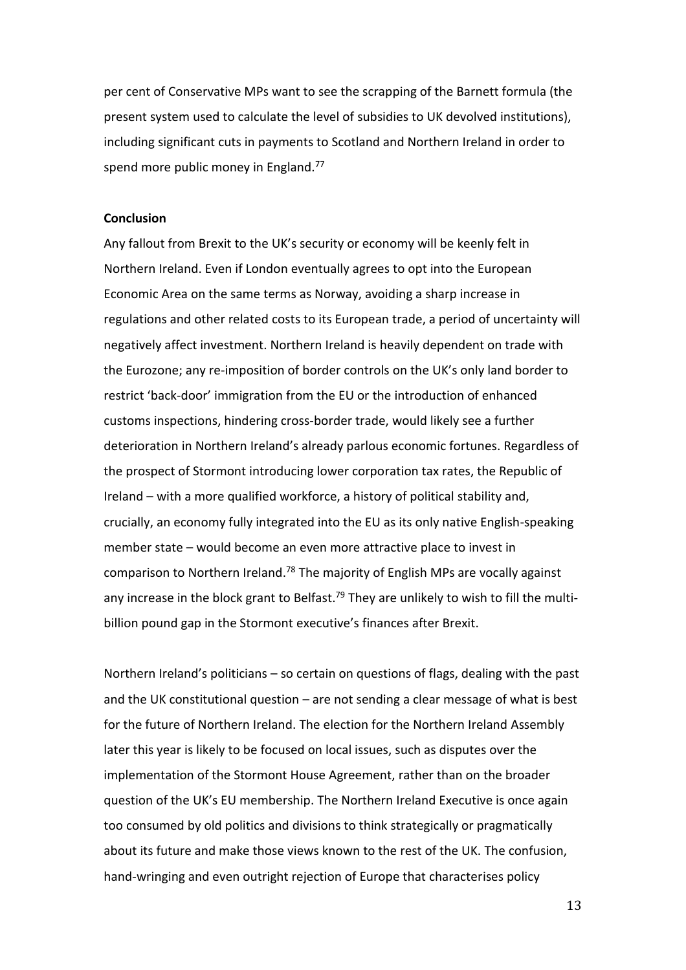per cent of Conservative MPs want to see the scrapping of the Barnett formula (the present system used to calculate the level of subsidies to UK devolved institutions), including significant cuts in payments to Scotland and Northern Ireland in order to spend more public money in England.<sup>77</sup>

### **Conclusion**

Any fallout from Brexit to the UK's security or economy will be keenly felt in Northern Ireland. Even if London eventually agrees to opt into the European Economic Area on the same terms as Norway, avoiding a sharp increase in regulations and other related costs to its European trade, a period of uncertainty will negatively affect investment. Northern Ireland is heavily dependent on trade with the Eurozone; any re-imposition of border controls on the UK's only land border to restrict 'back-door' immigration from the EU or the introduction of enhanced customs inspections, hindering cross-border trade, would likely see a further deterioration in Northern Ireland's already parlous economic fortunes. Regardless of the prospect of Stormont introducing lower corporation tax rates, the Republic of Ireland – with a more qualified workforce, a history of political stability and, crucially, an economy fully integrated into the EU as its only native English-speaking member state – would become an even more attractive place to invest in comparison to Northern Ireland.<sup>78</sup> The majority of English MPs are vocally against any increase in the block grant to Belfast.<sup>79</sup> They are unlikely to wish to fill the multibillion pound gap in the Stormont executive's finances after Brexit.

Northern Ireland's politicians – so certain on questions of flags, dealing with the past and the UK constitutional question – are not sending a clear message of what is best for the future of Northern Ireland. The election for the Northern Ireland Assembly later this year is likely to be focused on local issues, such as disputes over the implementation of the Stormont House Agreement, rather than on the broader question of the UK's EU membership. The Northern Ireland Executive is once again too consumed by old politics and divisions to think strategically or pragmatically about its future and make those views known to the rest of the UK. The confusion, hand-wringing and even outright rejection of Europe that characterises policy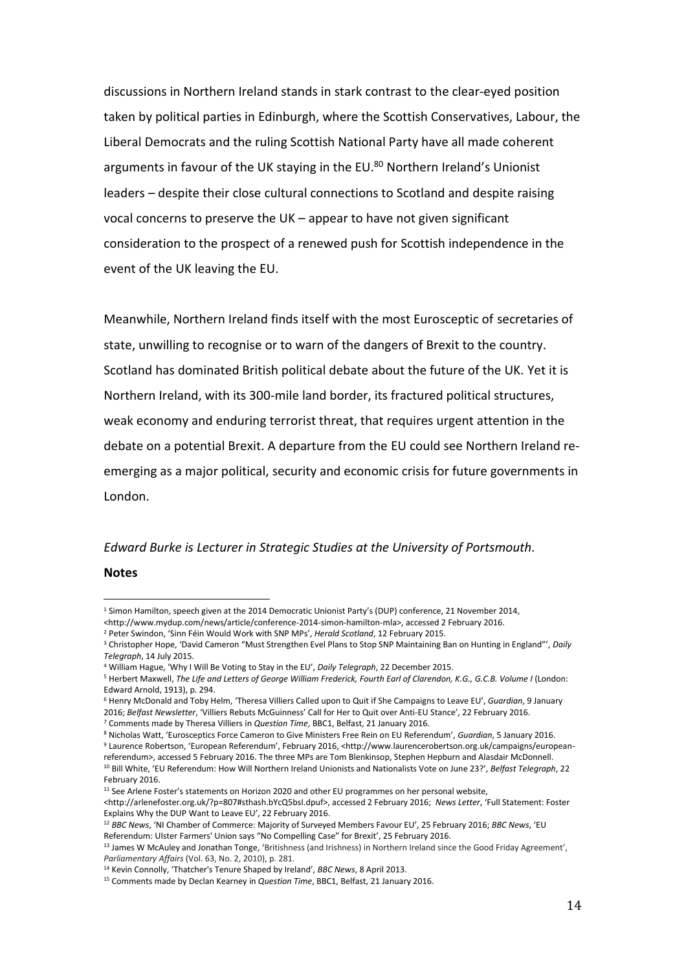discussions in Northern Ireland stands in stark contrast to the clear-eyed position taken by political parties in Edinburgh, where the Scottish Conservatives, Labour, the Liberal Democrats and the ruling Scottish National Party have all made coherent arguments in favour of the UK staying in the EU.<sup>80</sup> Northern Ireland's Unionist leaders – despite their close cultural connections to Scotland and despite raising vocal concerns to preserve the UK – appear to have not given significant consideration to the prospect of a renewed push for Scottish independence in the event of the UK leaving the EU.

Meanwhile, Northern Ireland finds itself with the most Eurosceptic of secretaries of state, unwilling to recognise or to warn of the dangers of Brexit to the country. Scotland has dominated British political debate about the future of the UK. Yet it is Northern Ireland, with its 300-mile land border, its fractured political structures, weak economy and enduring terrorist threat, that requires urgent attention in the debate on a potential Brexit. A departure from the EU could see Northern Ireland reemerging as a major political, security and economic crisis for future governments in London.

*Edward Burke is Lecturer in Strategic Studies at the University of Portsmouth.*

#### **Notes**

 $\overline{a}$ 

<sup>12</sup> *BBC News*, 'NI Chamber of Commerce: Majority of Surveyed Members Favour EU', 25 February 2016; *BBC News*, 'EU Referendum: Ulster Farmers' Union says "No Compelling Case" for Brexit', 25 February 2016.

<sup>13</sup> James W McAuley and Jonathan Tonge, 'Britishness (and Irishness) in Northern Ireland since the Good Friday Agreement', *Parliamentary Affairs* (Vol. 63, No. 2, 2010), p. 281.

<sup>1</sup> Simon Hamilton, speech given at the 2014 Democratic Unionist Party's (DUP) conference, 21 November 2014,

<sup>&</sup>lt;http://www.mydup.com/news/article/conference-2014-simon-hamilton-mla>, accessed 2 February 2016.

<sup>2</sup> Peter Swindon, 'Sinn Féin Would Work with SNP MPs', *Herald Scotland*, 12 February 2015.

<sup>3</sup> Christopher Hope, 'David Cameron "Must Strengthen Evel Plans to Stop SNP Maintaining Ban on Hunting in England"', *Daily Telegraph*, 14 July 2015.

<sup>4</sup> William Hague, 'Why I Will Be Voting to Stay in the EU', *Daily Telegraph*, 22 December 2015.

<sup>5</sup> Herbert Maxwell, *The Life and Letters of George William Frederick, Fourth Earl of Clarendon, K.G., G.C.B. Volume I* (London: Edward Arnold, 1913), p. 294.

<sup>6</sup> Henry McDonald and Toby Helm, 'Theresa Villiers Called upon to Quit if She Campaigns to Leave EU', *Guardian*, 9 January 2016; *Belfast Newsletter*, 'Villiers Rebuts McGuinness' Call for Her to Quit over Anti-EU Stance', 22 February 2016.

<sup>7</sup> Comments made by Theresa Villiers in *Question Time*, BBC1, Belfast, 21 January 2016.

<sup>8</sup> Nicholas Watt, 'Eurosceptics Force Cameron to Give Ministers Free Rein on EU Referendum', *Guardian*, 5 January 2016.

<sup>9</sup> Laurence Robertson, 'European Referendum', February 2016, <http://www.laurencerobertson.org.uk/campaigns/europeanreferendum>, accessed 5 February 2016. The three MPs are Tom Blenkinsop, Stephen Hepburn and Alasdair McDonnell. <sup>10</sup> Bill White, 'EU Referendum: How Will Northern Ireland Unionists and Nationalists Vote on June 23?', *Belfast Telegraph*, 22

February 2016. <sup>11</sup> See Arlene Foster's statements on Horizon 2020 and other EU programmes on her personal website,

<sup>&</sup>lt;http://arlenefoster.org.uk/?p=807#sthash.bYcQ5bsI.dpuf>, accessed 2 February 2016; *News Letter*, 'Full Statement: Foster Explains Why the DUP Want to Leave EU', 22 February 2016.

<sup>14</sup> Kevin Connolly, 'Thatcher's Tenure Shaped by Ireland', *BBC News*, 8 April 2013.

<sup>15</sup> Comments made by Declan Kearney in *Question Time*, BBC1, Belfast, 21 January 2016.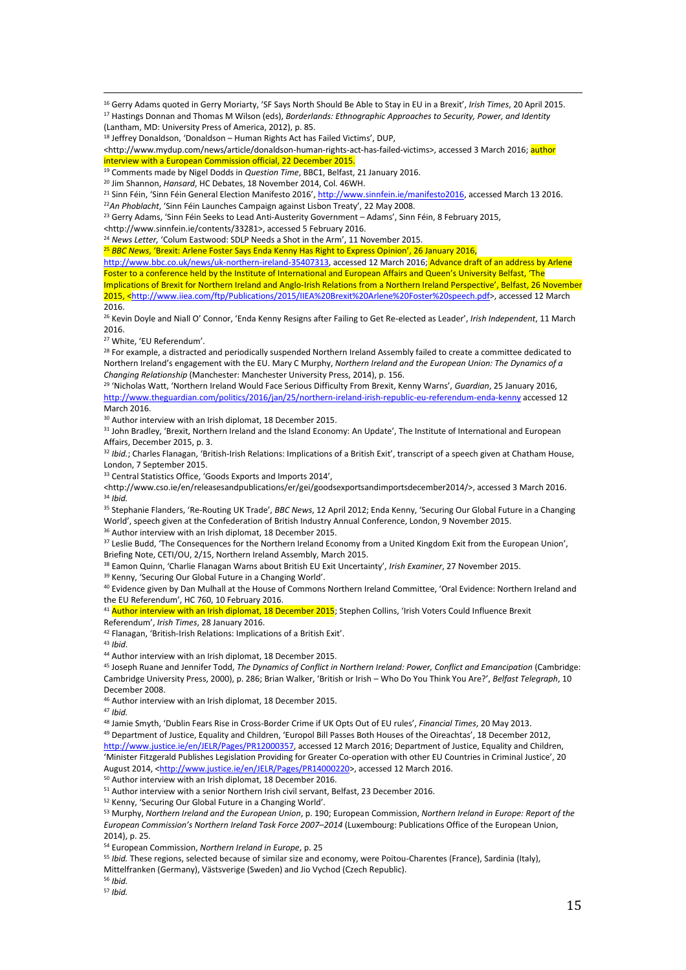$\overline{a}$ <sup>16</sup> Gerry Adams quoted in Gerry Moriarty, 'SF Says North Should Be Able to Stay in EU in a Brexit', *Irish Times*, 20 April 2015. <sup>17</sup> Hastings Donnan and Thomas M Wilson (eds), *Borderlands: Ethnographic Approaches to Security, Power, and Identity* 

(Lantham, MD: University Press of America, 2012), p. 85.

<sup>18</sup> Jeffrey Donaldson, 'Donaldson - Human Rights Act has Failed Victims', DUP,

<http://www.mydup.com/news/article/donaldson-human-rights-act-has-failed-victims>, accessed 3 March 2016; author interview with a European Commission official, 22 December 2015.

<sup>19</sup> Comments made by Nigel Dodds in *Question Time*, BBC1, Belfast, 21 January 2016.

<sup>20</sup> Jim Shannon, *Hansard*, HC Debates, 18 November 2014, Col. 46WH.

<sup>21</sup> Sinn Féin, 'Sinn Féin General Election Manifesto 2016', [http://www.sinnfein.ie/manifesto2016,](http://www.sinnfein.ie/manifesto2016) accessed March 13 2016.

<sup>22</sup>*An Phoblacht*, 'Sinn Féin Launches Campaign against Lisbon Treaty', 22 May 2008.

<sup>23</sup> Gerry Adams, 'Sinn Féin Seeks to Lead Anti-Austerity Government - Adams', Sinn Féin, 8 February 2015,

<http://www.sinnfein.ie/contents/33281>, accessed 5 February 2016.

<sup>24</sup> News Letter, 'Colum Eastwood: SDLP Needs a Shot in the Arm', 11 November 2015.

<sup>25</sup> *BBC News*, 'Brexit: Arlene Foster Says Enda Kenny Has Right to Express Opinion', 26 January 2016, [http://www.bbc.co.uk/news/uk-northern-ireland-35407313,](http://www.bbc.co.uk/news/uk-northern-ireland-35407313) accessed 12 March 2016; Advance draft of an address by Arlene Foster to a conference held by the Institute of International and European Affairs and Queen's University Belfast, 'The Implications of Brexit for Northern Ireland and Anglo-Irish Relations from a Northern Ireland Perspective', Belfast, 26 November 2015, [<http://www.iiea.com/ftp/Publications/2015/IIEA%20Brexit%20Arlene%20Foster%20speech.pdf>](http://www.iiea.com/ftp/Publications/2015/IIEA%20Brexit%20Arlene%20Foster%20speech.pdf), accessed 12 March 2016.

<sup>26</sup> Kevin Doyle and Niall O' Connor, 'Enda Kenny Resigns after Failing to Get Re-elected as Leader', *Irish Independent*, 11 March 2016.

<sup>27</sup> White, 'EU Referendum'.

<sup>28</sup> For example, a distracted and periodically suspended Northern Ireland Assembly failed to create a committee dedicated to Northern Ireland's engagement with the EU. Mary C Murphy, *Northern Ireland and the European Union: The Dynamics of a Changing Relationship* (Manchester: Manchester University Press, 2014), p. 156.

<sup>29</sup> 'Nicholas Watt, 'Northern Ireland Would Face Serious Difficulty From Brexit, Kenny Warns', *Guardian*, 25 January 2016, <http://www.theguardian.com/politics/2016/jan/25/northern-ireland-irish-republic-eu-referendum-enda-kenny> accessed 12 March 2016.

<sup>30</sup> Author interview with an Irish diplomat, 18 December 2015.

31 John Bradley, 'Brexit, Northern Ireland and the Island Economy: An Update', The Institute of International and European Affairs, December 2015, p. 3.

32 Ibid.; Charles Flanagan, 'British-Irish Relations: Implications of a British Exit', transcript of a speech given at Chatham House, London, 7 September 2015.

<sup>33</sup> Central Statistics Office, 'Goods Exports and Imports 2014',

<http://www.cso.ie/en/releasesandpublications/er/gei/goodsexportsandimportsdecember2014/>, accessed 3 March 2016. <sup>34</sup> *Ibid.*

<sup>35</sup> Stephanie Flanders, 'Re-Routing UK Trade', *BBC News*, 12 April 2012; Enda Kenny, 'Securing Our Global Future in a Changing World', speech given at the Confederation of British Industry Annual Conference, London, 9 November 2015.

<sup>36</sup> Author interview with an Irish diplomat, 18 December 2015.

<sup>37</sup> Leslie Budd, 'The Consequences for the Northern Ireland Economy from a United Kingdom Exit from the European Union', Briefing Note, CETI/OU, 2/15, Northern Ireland Assembly, March 2015.

<sup>38</sup> Eamon Quinn, 'Charlie Flanagan Warns about British EU Exit Uncertainty', *Irish Examiner*, 27 November 2015.

<sup>39</sup> Kenny, 'Securing Our Global Future in a Changing World'.

<sup>40</sup> Evidence given by Dan Mulhall at the House of Commons Northern Ireland Committee, 'Oral Evidence: Northern Ireland and the EU Referendum', HC 760, 10 February 2016.

<sup>41</sup> Author interview with an Irish diplomat, 18 December 2015; Stephen Collins, 'Irish Voters Could Influence Brexit Referendum', *Irish Times*, 28 January 2016.

<sup>42</sup> Flanagan, 'British-Irish Relations: Implications of a British Exit'.

<sup>43</sup> *Ibid*.

<sup>44</sup> Author interview with an Irish diplomat, 18 December 2015.

<sup>45</sup> Joseph Ruane and Jennifer Todd, *The Dynamics of Conflict in Northern Ireland: Power, Conflict and Emancipation* (Cambridge: Cambridge University Press, 2000), p. 286; Brian Walker, 'British or Irish – Who Do You Think You Are?', *Belfast Telegraph*, 10 December 2008.

<sup>46</sup> Author interview with an Irish diplomat, 18 December 2015.

<sup>47</sup> *Ibid.*

<sup>48</sup> Jamie Smyth, 'Dublin Fears Rise in Cross-Border Crime if UK Opts Out of EU rules', *Financial Times*, 20 May 2013.

<sup>49</sup> Department of Justice, Equality and Children, 'Europol Bill Passes Both Houses of the Oireachtas', 18 December 2012, [http://www.justice.ie/en/JELR/Pages/PR12000357,](http://www.justice.ie/en/JELR/Pages/PR12000357) accessed 12 March 2016; Department of Justice, Equality and Children, 'Minister Fitzgerald Publishes Legislation Providing for Greater Co-operation with other EU Countries in Criminal Justice', 20 August 2014, [<http://www.justice.ie/en/JELR/Pages/PR14000220>](http://www.justice.ie/en/JELR/Pages/PR14000220), accessed 12 March 2016. <sup>50</sup> Author interview with an Irish diplomat, 18 December 2016.

<sup>51</sup> Author interview with a senior Northern Irish civil servant, Belfast, 23 December 2016.

<sup>52</sup> Kenny, 'Securing Our Global Future in a Changing World'.

<sup>53</sup> Murphy, *Northern Ireland and the European Union*, p. 190; European Commission, *Northern Ireland in Europe: Report of the European Commission's Northern Ireland Task Force 2007–2014* (Luxembourg: Publications Office of the European Union, 2014), p. 25.

<sup>54</sup> European Commission, *Northern Ireland in Europe*, p. 25

<sup>55</sup> *Ibid.* These regions, selected because of similar size and economy, were Poitou-Charentes (France), Sardinia (Italy),

Mittelfranken (Germany), Västsverige (Sweden) and Jio Vychod (Czech Republic).

<sup>56</sup> *Ibid.* 

<sup>57</sup> *Ibid.*